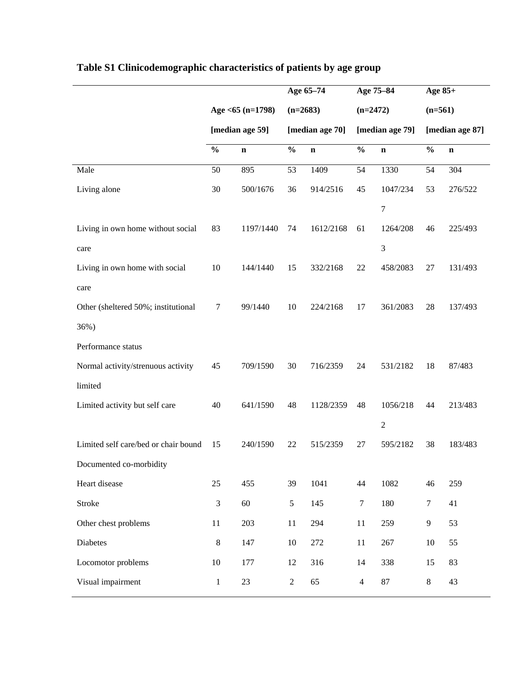|                                        |           | Age 65-74                     |           | Age 75-84                     |                | Age 85+                      |         |
|----------------------------------------|-----------|-------------------------------|-----------|-------------------------------|----------------|------------------------------|---------|
| Age $<$ 65 (n=1798)<br>[median age 59] |           | $(n=2683)$<br>[median age 70] |           | $(n=2472)$<br>[median age 79] |                | $(n=561)$<br>[median age 87] |         |
|                                        |           |                               |           |                               |                |                              |         |
| 50                                     | 895       | 53                            | 1409      | 54                            | 1330           | 54                           | 304     |
| 30                                     | 500/1676  | 36                            | 914/2516  | 45                            | 1047/234       | 53                           | 276/522 |
|                                        |           |                               |           |                               | $\tau$         |                              |         |
| 83                                     | 1197/1440 | 74                            | 1612/2168 | 61                            | 1264/208       | 46                           | 225/493 |
|                                        |           |                               |           |                               | $\mathfrak{Z}$ |                              |         |
| 10                                     | 144/1440  | 15                            | 332/2168  | 22                            | 458/2083       | $27\,$                       | 131/493 |
|                                        |           |                               |           |                               |                |                              |         |
| 7                                      | 99/1440   | 10                            | 224/2168  | 17                            | 361/2083       | 28                           | 137/493 |
|                                        |           |                               |           |                               |                |                              |         |
|                                        |           |                               |           |                               |                |                              |         |
| 45                                     | 709/1590  | 30                            | 716/2359  | 24                            | 531/2182       | 18                           | 87/483  |
|                                        |           |                               |           |                               |                |                              |         |
| 40                                     | 641/1590  | 48                            | 1128/2359 | 48                            | 1056/218       | 44                           | 213/483 |
|                                        |           |                               |           |                               | $\sqrt{2}$     |                              |         |
| 15                                     | 240/1590  | 22                            | 515/2359  | 27                            | 595/2182       | 38                           | 183/483 |
|                                        |           |                               |           |                               |                |                              |         |
| 25                                     | 455       | 39                            | 1041      | 44                            | 1082           | 46                           | 259     |
| 3                                      | 60        | 5                             | 145       | $\tau$                        | 180            | $\boldsymbol{7}$             | 41      |
| $11\,$                                 | 203       | 11                            | 294       | $11\,$                        | 259            | 9                            | 53      |
| $\,8\,$                                | 147       | $10\,$                        | 272       | 11                            | 267            | 10                           | 55      |
| 10                                     | 177       | 12                            | 316       | 14                            | 338            | 15                           | 83      |
|                                        |           |                               |           |                               |                |                              |         |
|                                        |           |                               |           |                               |                |                              |         |

## **Table S1 Clinicodemographic characteristics of patients by age group**